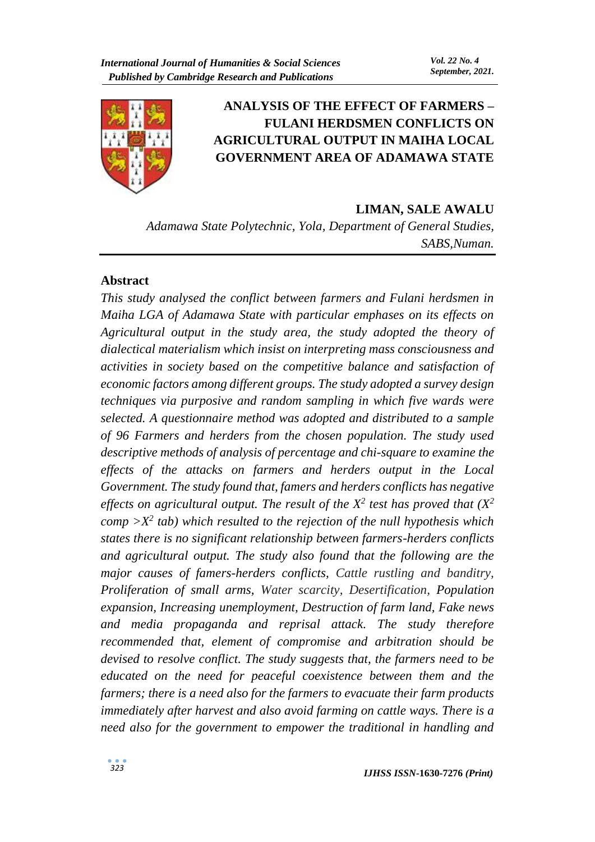

# **ANALYSIS OF THE EFFECT OF FARMERS – FULANI HERDSMEN CONFLICTS ON AGRICULTURAL OUTPUT IN MAIHA LOCAL GOVERNMENT AREA OF ADAMAWA STATE**

#### **LIMAN, SALE AWALU**

*Adamawa State Polytechnic, Yola, Department of General Studies, SABS,Numan.*

#### **Abstract**

*This study analysed the conflict between farmers and Fulani herdsmen in Maiha LGA of Adamawa State with particular emphases on its effects on Agricultural output in the study area, the study adopted the theory of dialectical materialism which insist on interpreting mass consciousness and activities in society based on the competitive balance and satisfaction of economic factors among different groups. The study adopted a survey design techniques via purposive and random sampling in which five wards were selected. A questionnaire method was adopted and distributed to a sample of 96 Farmers and herders from the chosen population. The study used descriptive methods of analysis of percentage and chi-square to examine the effects of the attacks on farmers and herders output in the Local Government. The study found that, famers and herders conflicts has negative effects on agricultural output. The result of the X<sup>2</sup> test has proved that (X<sup>2</sup>*  $comp > X<sup>2</sup>$  *tab*) which resulted to the rejection of the null hypothesis which *states there is no significant relationship between farmers-herders conflicts and agricultural output. The study also found that the following are the major causes of famers-herders conflicts, Cattle rustling and banditry, Proliferation of small arms, Water scarcity, Desertification, Population expansion, Increasing unemployment, Destruction of farm land, Fake news and media propaganda and reprisal attack. The study therefore recommended that, element of compromise and arbitration should be devised to resolve conflict. The study suggests that, the farmers need to be educated on the need for peaceful coexistence between them and the farmers; there is a need also for the farmers to evacuate their farm products immediately after harvest and also avoid farming on cattle ways. There is a need also for the government to empower the traditional in handling and*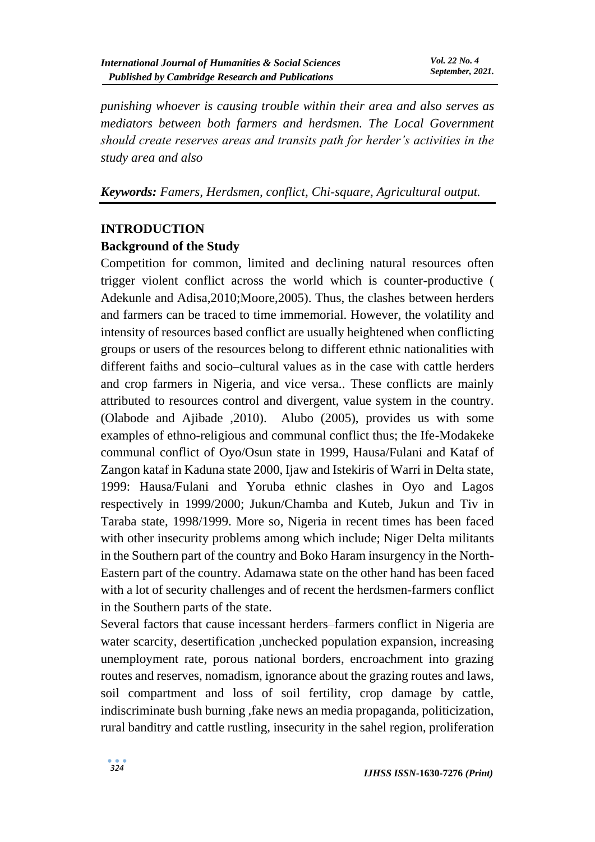*punishing whoever is causing trouble within their area and also serves as mediators between both farmers and herdsmen. The Local Government should create reserves areas and transits path for herder's activities in the study area and also* 

*Keywords: Famers, Herdsmen, conflict, Chi-square, Agricultural output.*

# **INTRODUCTION**

# **Background of the Study**

Competition for common, limited and declining natural resources often trigger violent conflict across the world which is counter-productive ( Adekunle and Adisa,2010;Moore,2005). Thus, the clashes between herders and farmers can be traced to time immemorial. However, the volatility and intensity of resources based conflict are usually heightened when conflicting groups or users of the resources belong to different ethnic nationalities with different faiths and socio–cultural values as in the case with cattle herders and crop farmers in Nigeria, and vice versa.. These conflicts are mainly attributed to resources control and divergent, value system in the country. (Olabode and Ajibade ,2010). Alubo (2005), provides us with some examples of ethno-religious and communal conflict thus; the Ife-Modakeke communal conflict of Oyo/Osun state in 1999, Hausa/Fulani and Kataf of Zangon kataf in Kaduna state 2000, Ijaw and Istekiris of Warri in Delta state, 1999: Hausa/Fulani and Yoruba ethnic clashes in Oyo and Lagos respectively in 1999/2000; Jukun/Chamba and Kuteb, Jukun and Tiv in Taraba state, 1998/1999. More so, Nigeria in recent times has been faced with other insecurity problems among which include; Niger Delta militants in the Southern part of the country and Boko Haram insurgency in the North-Eastern part of the country. Adamawa state on the other hand has been faced with a lot of security challenges and of recent the herdsmen-farmers conflict in the Southern parts of the state.

Several factors that cause incessant herders–farmers conflict in Nigeria are water scarcity, desertification ,unchecked population expansion, increasing unemployment rate, porous national borders, encroachment into grazing routes and reserves, nomadism, ignorance about the grazing routes and laws, soil compartment and loss of soil fertility, crop damage by cattle, indiscriminate bush burning ,fake news an media propaganda, politicization, rural banditry and cattle rustling, insecurity in the sahel region, proliferation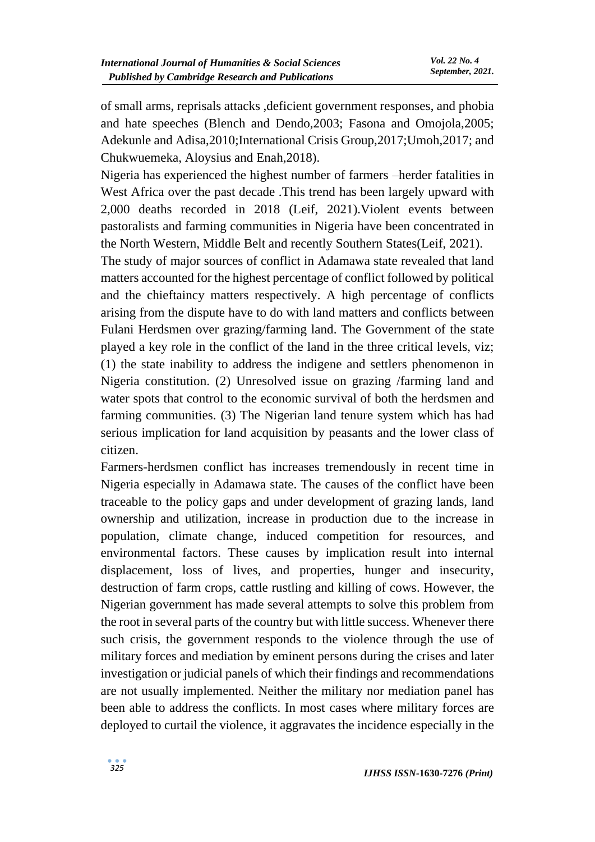of small arms, reprisals attacks ,deficient government responses, and phobia and hate speeches (Blench and Dendo,2003; Fasona and Omojola,2005; Adekunle and Adisa,2010;International Crisis Group,2017;Umoh,2017; and Chukwuemeka, Aloysius and Enah,2018).

Nigeria has experienced the highest number of farmers –herder fatalities in West Africa over the past decade .This trend has been largely upward with 2,000 deaths recorded in 2018 (Leif, 2021).Violent events between pastoralists and farming communities in Nigeria have been concentrated in the North Western, Middle Belt and recently Southern States(Leif, 2021).

The study of major sources of conflict in Adamawa state revealed that land matters accounted for the highest percentage of conflict followed by political and the chieftaincy matters respectively. A high percentage of conflicts arising from the dispute have to do with land matters and conflicts between Fulani Herdsmen over grazing/farming land. The Government of the state played a key role in the conflict of the land in the three critical levels, viz; (1) the state inability to address the indigene and settlers phenomenon in Nigeria constitution. (2) Unresolved issue on grazing /farming land and water spots that control to the economic survival of both the herdsmen and farming communities. (3) The Nigerian land tenure system which has had serious implication for land acquisition by peasants and the lower class of citizen.

Farmers-herdsmen conflict has increases tremendously in recent time in Nigeria especially in Adamawa state. The causes of the conflict have been traceable to the policy gaps and under development of grazing lands, land ownership and utilization, increase in production due to the increase in population, climate change, induced competition for resources, and environmental factors. These causes by implication result into internal displacement, loss of lives, and properties, hunger and insecurity, destruction of farm crops, cattle rustling and killing of cows. However, the Nigerian government has made several attempts to solve this problem from the root in several parts of the country but with little success. Whenever there such crisis, the government responds to the violence through the use of military forces and mediation by eminent persons during the crises and later investigation or judicial panels of which their findings and recommendations are not usually implemented. Neither the military nor mediation panel has been able to address the conflicts. In most cases where military forces are deployed to curtail the violence, it aggravates the incidence especially in the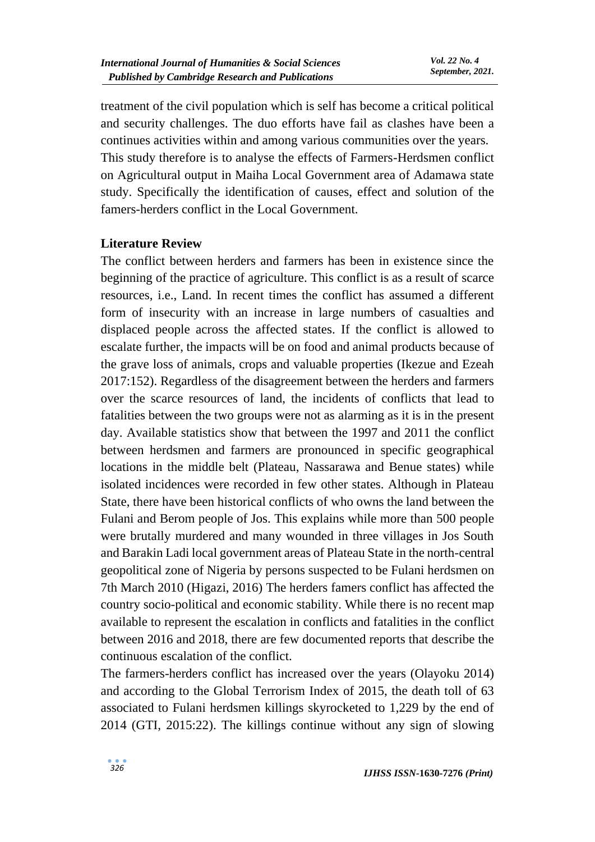treatment of the civil population which is self has become a critical political and security challenges. The duo efforts have fail as clashes have been a continues activities within and among various communities over the years. This study therefore is to analyse the effects of Farmers-Herdsmen conflict on Agricultural output in Maiha Local Government area of Adamawa state study. Specifically the identification of causes, effect and solution of the famers-herders conflict in the Local Government.

# **Literature Review**

The conflict between herders and farmers has been in existence since the beginning of the practice of agriculture. This conflict is as a result of scarce resources, i.e., Land. In recent times the conflict has assumed a different form of insecurity with an increase in large numbers of casualties and displaced people across the affected states. If the conflict is allowed to escalate further, the impacts will be on food and animal products because of the grave loss of animals, crops and valuable properties (Ikezue and Ezeah 2017:152). Regardless of the disagreement between the herders and farmers over the scarce resources of land, the incidents of conflicts that lead to fatalities between the two groups were not as alarming as it is in the present day. Available statistics show that between the 1997 and 2011 the conflict between herdsmen and farmers are pronounced in specific geographical locations in the middle belt (Plateau, Nassarawa and Benue states) while isolated incidences were recorded in few other states. Although in Plateau State, there have been historical conflicts of who owns the land between the Fulani and Berom people of Jos. This explains while more than 500 people were brutally murdered and many wounded in three villages in Jos South and Barakin Ladi local government areas of Plateau State in the north-central geopolitical zone of Nigeria by persons suspected to be Fulani herdsmen on 7th March 2010 (Higazi, 2016) The herders famers conflict has affected the country socio-political and economic stability. While there is no recent map available to represent the escalation in conflicts and fatalities in the conflict between 2016 and 2018, there are few documented reports that describe the continuous escalation of the conflict.

The farmers-herders conflict has increased over the years (Olayoku 2014) and according to the Global Terrorism Index of 2015, the death toll of 63 associated to Fulani herdsmen killings skyrocketed to 1,229 by the end of 2014 (GTI, 2015:22). The killings continue without any sign of slowing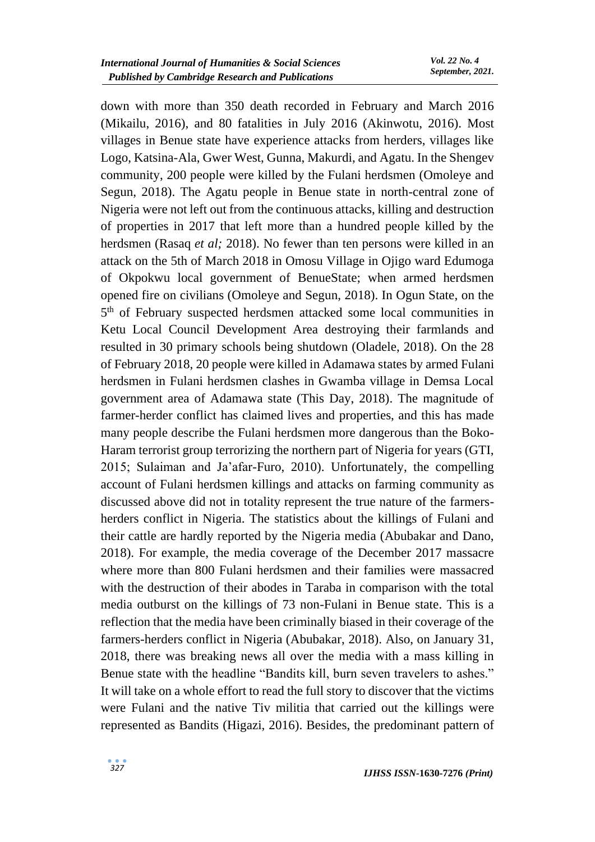down with more than 350 death recorded in February and March 2016 (Mikailu, 2016), and 80 fatalities in July 2016 (Akinwotu, 2016). Most villages in Benue state have experience attacks from herders, villages like Logo, Katsina-Ala, Gwer West, Gunna, Makurdi, and Agatu. In the Shengev community, 200 people were killed by the Fulani herdsmen (Omoleye and Segun, 2018). The Agatu people in Benue state in north-central zone of Nigeria were not left out from the continuous attacks, killing and destruction of properties in 2017 that left more than a hundred people killed by the herdsmen (Rasaq *et al;* 2018). No fewer than ten persons were killed in an attack on the 5th of March 2018 in Omosu Village in Ojigo ward Edumoga of Okpokwu local government of BenueState; when armed herdsmen opened fire on civilians (Omoleye and Segun, 2018). In Ogun State, on the 5<sup>th</sup> of February suspected herdsmen attacked some local communities in Ketu Local Council Development Area destroying their farmlands and resulted in 30 primary schools being shutdown (Oladele, 2018). On the 28 of February 2018, 20 people were killed in Adamawa states by armed Fulani herdsmen in Fulani herdsmen clashes in Gwamba village in Demsa Local government area of Adamawa state (This Day, 2018). The magnitude of farmer-herder conflict has claimed lives and properties, and this has made many people describe the Fulani herdsmen more dangerous than the Boko-Haram terrorist group terrorizing the northern part of Nigeria for years (GTI, 2015; Sulaiman and Ja'afar-Furo, 2010). Unfortunately, the compelling account of Fulani herdsmen killings and attacks on farming community as discussed above did not in totality represent the true nature of the farmersherders conflict in Nigeria. The statistics about the killings of Fulani and their cattle are hardly reported by the Nigeria media (Abubakar and Dano, 2018). For example, the media coverage of the December 2017 massacre where more than 800 Fulani herdsmen and their families were massacred with the destruction of their abodes in Taraba in comparison with the total media outburst on the killings of 73 non-Fulani in Benue state. This is a reflection that the media have been criminally biased in their coverage of the farmers-herders conflict in Nigeria (Abubakar, 2018). Also, on January 31, 2018, there was breaking news all over the media with a mass killing in Benue state with the headline "Bandits kill, burn seven travelers to ashes." It will take on a whole effort to read the full story to discover that the victims were Fulani and the native Tiv militia that carried out the killings were represented as Bandits (Higazi, 2016). Besides, the predominant pattern of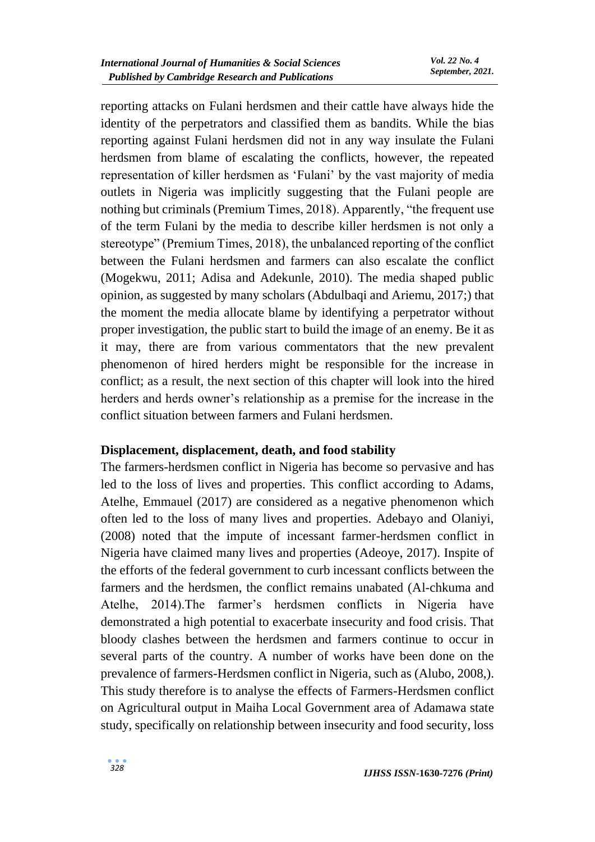reporting attacks on Fulani herdsmen and their cattle have always hide the identity of the perpetrators and classified them as bandits. While the bias reporting against Fulani herdsmen did not in any way insulate the Fulani herdsmen from blame of escalating the conflicts, however, the repeated representation of killer herdsmen as 'Fulani' by the vast majority of media outlets in Nigeria was implicitly suggesting that the Fulani people are nothing but criminals (Premium Times, 2018). Apparently, "the frequent use of the term Fulani by the media to describe killer herdsmen is not only a stereotype" (Premium Times, 2018), the unbalanced reporting of the conflict between the Fulani herdsmen and farmers can also escalate the conflict (Mogekwu, 2011; Adisa and Adekunle, 2010). The media shaped public opinion, as suggested by many scholars (Abdulbaqi and Ariemu, 2017;) that the moment the media allocate blame by identifying a perpetrator without proper investigation, the public start to build the image of an enemy. Be it as it may, there are from various commentators that the new prevalent phenomenon of hired herders might be responsible for the increase in conflict; as a result, the next section of this chapter will look into the hired herders and herds owner's relationship as a premise for the increase in the conflict situation between farmers and Fulani herdsmen.

# **Displacement, displacement, death, and food stability**

The farmers-herdsmen conflict in Nigeria has become so pervasive and has led to the loss of lives and properties. This conflict according to Adams, Atelhe, Emmauel (2017) are considered as a negative phenomenon which often led to the loss of many lives and properties. Adebayo and Olaniyi, (2008) noted that the impute of incessant farmer-herdsmen conflict in Nigeria have claimed many lives and properties (Adeoye, 2017). Inspite of the efforts of the federal government to curb incessant conflicts between the farmers and the herdsmen, the conflict remains unabated (Al-chkuma and Atelhe, 2014).The farmer's herdsmen conflicts in Nigeria have demonstrated a high potential to exacerbate insecurity and food crisis. That bloody clashes between the herdsmen and farmers continue to occur in several parts of the country. A number of works have been done on the prevalence of farmers-Herdsmen conflict in Nigeria, such as (Alubo, 2008,). This study therefore is to analyse the effects of Farmers-Herdsmen conflict on Agricultural output in Maiha Local Government area of Adamawa state study, specifically on relationship between insecurity and food security, loss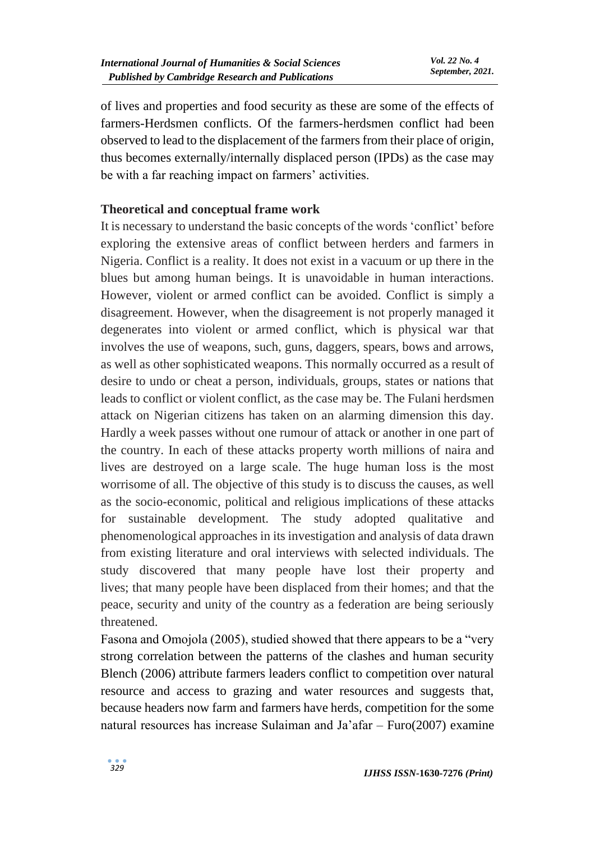of lives and properties and food security as these are some of the effects of farmers-Herdsmen conflicts. Of the farmers-herdsmen conflict had been observed to lead to the displacement of the farmers from their place of origin, thus becomes externally/internally displaced person (IPDs) as the case may be with a far reaching impact on farmers' activities.

#### **Theoretical and conceptual frame work**

It is necessary to understand the basic concepts of the words 'conflict' before exploring the extensive areas of conflict between herders and farmers in Nigeria. Conflict is a reality. It does not exist in a vacuum or up there in the blues but among human beings. It is unavoidable in human interactions. However, violent or armed conflict can be avoided. Conflict is simply a disagreement. However, when the disagreement is not properly managed it degenerates into violent or armed conflict, which is physical war that involves the use of weapons, such, guns, daggers, spears, bows and arrows, as well as other sophisticated weapons. This normally occurred as a result of desire to undo or cheat a person, individuals, groups, states or nations that leads to conflict or violent conflict, as the case may be. The Fulani herdsmen attack on Nigerian citizens has taken on an alarming dimension this day. Hardly a week passes without one rumour of attack or another in one part of the country. In each of these attacks property worth millions of naira and lives are destroyed on a large scale. The huge human loss is the most worrisome of all. The objective of this study is to discuss the causes, as well as the socio-economic, political and religious implications of these attacks for sustainable development. The study adopted qualitative and phenomenological approaches in its investigation and analysis of data drawn from existing literature and oral interviews with selected individuals. The study discovered that many people have lost their property and lives; that many people have been displaced from their homes; and that the peace, security and unity of the country as a federation are being seriously threatened.

Fasona and Omojola (2005), studied showed that there appears to be a "very strong correlation between the patterns of the clashes and human security Blench (2006) attribute farmers leaders conflict to competition over natural resource and access to grazing and water resources and suggests that, because headers now farm and farmers have herds, competition for the some natural resources has increase Sulaiman and Ja'afar – Furo(2007) examine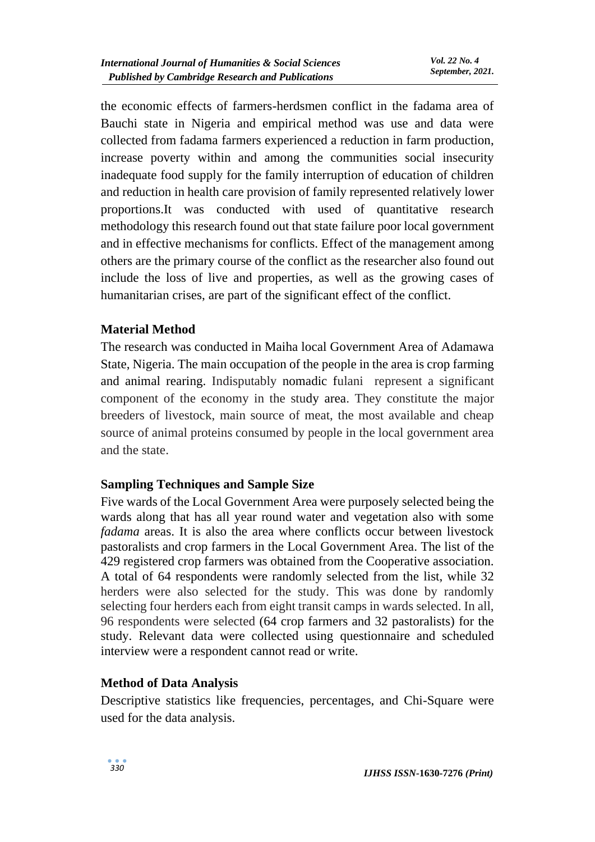the economic effects of farmers-herdsmen conflict in the fadama area of Bauchi state in Nigeria and empirical method was use and data were collected from fadama farmers experienced a reduction in farm production, increase poverty within and among the communities social insecurity inadequate food supply for the family interruption of education of children and reduction in health care provision of family represented relatively lower proportions.It was conducted with used of quantitative research methodology this research found out that state failure poor local government and in effective mechanisms for conflicts. Effect of the management among others are the primary course of the conflict as the researcher also found out include the loss of live and properties, as well as the growing cases of humanitarian crises, are part of the significant effect of the conflict.

# **Material Method**

The research was conducted in Maiha local Government Area of Adamawa State, Nigeria. The main occupation of the people in the area is crop farming and animal rearing. Indisputably nomadic fulani represent a significant component of the economy in the study area. They constitute the major breeders of livestock, main source of meat, the most available and cheap source of animal proteins consumed by people in the local government area and the state.

# **Sampling Techniques and Sample Size**

Five wards of the Local Government Area were purposely selected being the wards along that has all year round water and vegetation also with some *fadama* areas. It is also the area where conflicts occur between livestock pastoralists and crop farmers in the Local Government Area. The list of the 429 registered crop farmers was obtained from the Cooperative association. A total of 64 respondents were randomly selected from the list, while 32 herders were also selected for the study. This was done by randomly selecting four herders each from eight transit camps in wards selected. In all, 96 respondents were selected (64 crop farmers and 32 pastoralists) for the study. Relevant data were collected using questionnaire and scheduled interview were a respondent cannot read or write.

# **Method of Data Analysis**

Descriptive statistics like frequencies, percentages, and Chi-Square were used for the data analysis.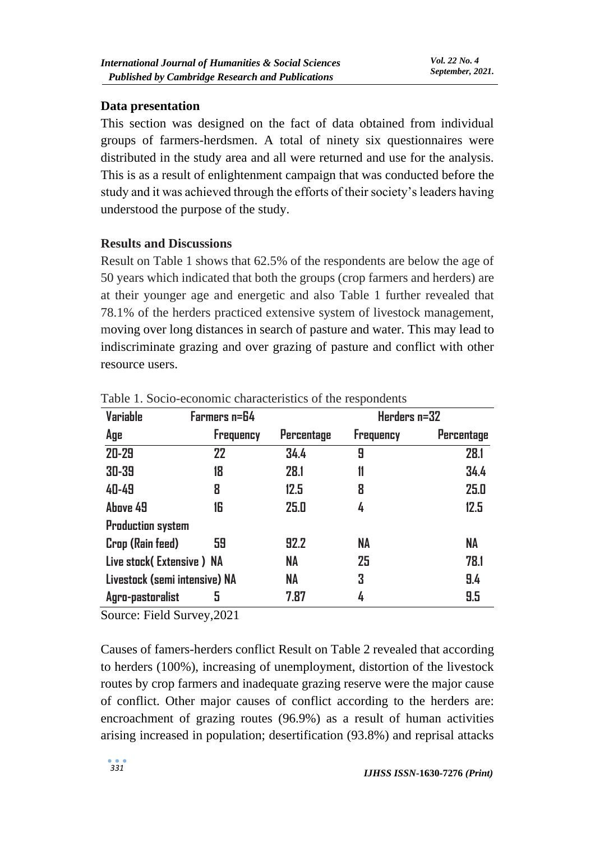#### **Data presentation**

This section was designed on the fact of data obtained from individual groups of farmers-herdsmen. A total of ninety six questionnaires were distributed in the study area and all were returned and use for the analysis. This is as a result of enlightenment campaign that was conducted before the study and it was achieved through the efforts of their society's leaders having understood the purpose of the study.

#### **Results and Discussions**

Result on Table 1 shows that 62.5% of the respondents are below the age of 50 years which indicated that both the groups (crop farmers and herders) are at their younger age and energetic and also Table 1 further revealed that 78.1% of the herders practiced extensive system of livestock management, moving over long distances in search of pasture and water. This may lead to indiscriminate grazing and over grazing of pasture and conflict with other resource users.

| Variable                      | Farmers n=64     |            | Herders n=32     |                   |
|-------------------------------|------------------|------------|------------------|-------------------|
| Age                           | <b>Frequency</b> | Percentage | <b>Frequency</b> | <b>Percentage</b> |
| $20 - 29$                     | 22               | 34.4       | 9                | 28.1              |
| 30-39                         | 18               | 28.1       | 11               | 34.4              |
| 40-49                         | 8                | 12.5       | 8                | 25.0              |
| Above 49                      | 16               | 25.0       | 4                | 12.5              |
| <b>Production system</b>      |                  |            |                  |                   |
| Crop (Rain feed)              | 59               | 92.2       | <b>NA</b>        | NA                |
| Live stock (Extensive) NA     |                  | <b>NA</b>  | 25               | 78.1              |
| Livestock (semi intensive) NA |                  | NA         | 3                | 9.4               |
| Agro-pastoralist              | 5                | 7.87       | 4                | 9.5               |

Table 1. Socio-economic characteristics of the respondents

Source: Field Survey,2021

Causes of famers-herders conflict Result on Table 2 revealed that according to herders (100%), increasing of unemployment, distortion of the livestock routes by crop farmers and inadequate grazing reserve were the major cause of conflict. Other major causes of conflict according to the herders are: encroachment of grazing routes (96.9%) as a result of human activities arising increased in population; desertification (93.8%) and reprisal attacks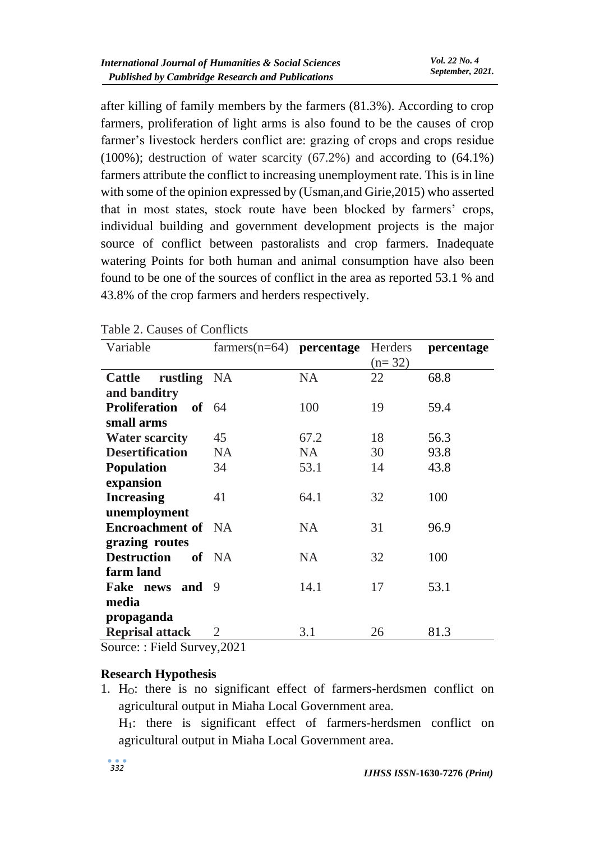after killing of family members by the farmers (81.3%). According to crop farmers, proliferation of light arms is also found to be the causes of crop farmer's livestock herders conflict are: grazing of crops and crops residue (100%); destruction of water scarcity (67.2%) and according to (64.1%) farmers attribute the conflict to increasing unemployment rate. This is in line with some of the opinion expressed by (Usman,and Girie,2015) who asserted that in most states, stock route have been blocked by farmers' crops, individual building and government development projects is the major source of conflict between pastoralists and crop farmers. Inadequate watering Points for both human and animal consumption have also been found to be one of the sources of conflict in the area as reported 53.1 % and 43.8% of the crop farmers and herders respectively.

|                            |           | Herders                                                          | percentage |
|----------------------------|-----------|------------------------------------------------------------------|------------|
|                            |           | $(n=32)$                                                         |            |
| rustling NA                | <b>NA</b> | 22                                                               | 68.8       |
|                            |           |                                                                  |            |
| <b>Proliferation of 64</b> | 100       | 19                                                               | 59.4       |
|                            |           |                                                                  |            |
| 45                         | 67.2      | 18                                                               | 56.3       |
| <b>NA</b>                  | <b>NA</b> | 30                                                               | 93.8       |
| 34                         | 53.1      | 14                                                               | 43.8       |
|                            |           |                                                                  |            |
| 41                         | 64.1      | 32                                                               | 100        |
|                            |           |                                                                  |            |
| <b>Encroachment of NA</b>  | <b>NA</b> | 31                                                               | 96.9       |
|                            |           |                                                                  |            |
| of NA                      | <b>NA</b> | 32                                                               | 100        |
|                            |           |                                                                  |            |
| Fake news and<br>9         | 14.1      | 17                                                               | 53.1       |
|                            |           |                                                                  |            |
|                            |           |                                                                  |            |
| 2                          | 3.1       | 26                                                               | 81.3       |
|                            |           | $farmers(n=64)$ <b>percentage</b><br>$\sim$ $\sim$ $\sim$ $\sim$ |            |

| Table 2. Causes of Conflicts |  |
|------------------------------|--|
|------------------------------|--|

Source: : Field Survey,2021

#### **Research Hypothesis**

1. HO: there is no significant effect of farmers-herdsmen conflict on agricultural output in Miaha Local Government area.

H1: there is significant effect of farmers-herdsmen conflict on agricultural output in Miaha Local Government area.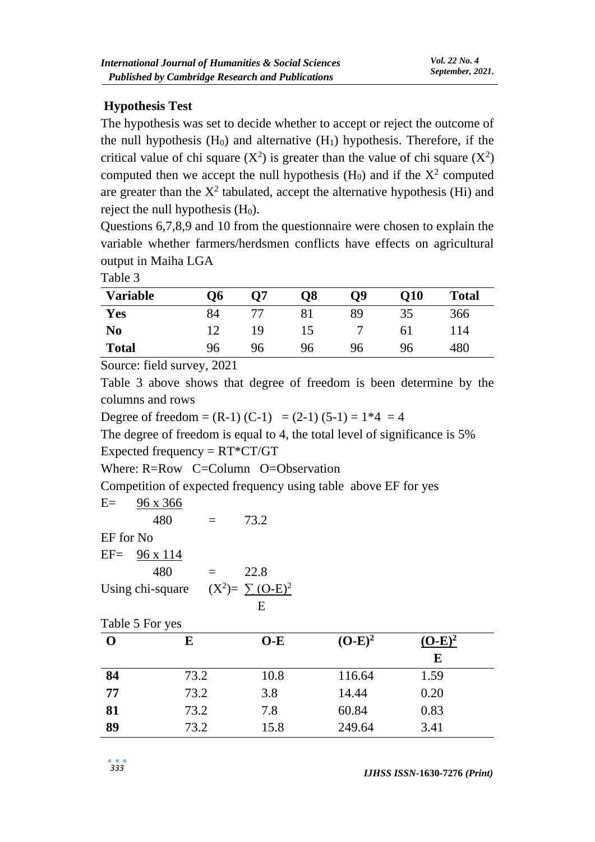# **Hypothesis Test**

The hypothesis was set to decide whether to accept or reject the outcome of the null hypothesis  $(H_0)$  and alternative  $(H_1)$  hypothesis. Therefore, if the critical value of chi square  $(X^2)$  is greater than the value of chi square  $(X^2)$ computed then we accept the null hypothesis  $(H_0)$  and if the  $X^2$  computed are greater than the  $X^2$  tabulated, accept the alternative hypothesis (Hi) and reject the null hypothesis  $(H<sub>0</sub>)$ .

Questions 6,7,8,9 and 10 from the questionnaire were chosen to explain the variable whether farmers/herdsmen conflicts have effects on agricultural output in Maiha LGA

Table 3

| <b>Variable</b> | Ο6 | <b>O7</b> | O8 | <b>O9</b> | <b>O10</b> | <b>Total</b> |
|-----------------|----|-----------|----|-----------|------------|--------------|
| Yes             | 84 |           |    | 89        | 35         | 366          |
| N <sub>0</sub>  | 1つ | 19        | 15 |           | 61         | l 14         |
| <b>Total</b>    | 96 | 96        | 96 | 96        | 96         | 480          |

Source: field survey, 2021

Table 3 above shows that degree of freedom is been determine by the columns and rows

Degree of freedom =  $(R-1)$   $(C-1)$  =  $(2-1)$   $(5-1) = 1*4 = 4$ 

The degree of freedom is equal to 4, the total level of significance is 5% Expected frequency  $= RT^*CT/GT$ 

Where: R=Row C=Column O=Observation

Competition of expected frequency using table above EF for yes

 $E=$  96 x 366

|           | 480                  | Ξ   | 73.2                   |
|-----------|----------------------|-----|------------------------|
| EF for No |                      |     |                        |
|           | $EF = 96 \times 114$ |     |                        |
|           | 480                  | $=$ | 22.8                   |
|           | Using chi-square     |     | $(X^2) = \sum (O-E)^2$ |
|           |                      |     |                        |

Table 5 For yes

|    | E    | $O-E$ | $(O-E)^2$ | $(O-E)^2$ |
|----|------|-------|-----------|-----------|
|    |      |       |           | E         |
| 84 | 73.2 | 10.8  | 116.64    | 1.59      |
| 77 | 73.2 | 3.8   | 14.44     | 0.20      |
| 81 | 73.2 | 7.8   | 60.84     | 0.83      |
| 89 | 73.2 | 15.8  | 249.64    | 3.41      |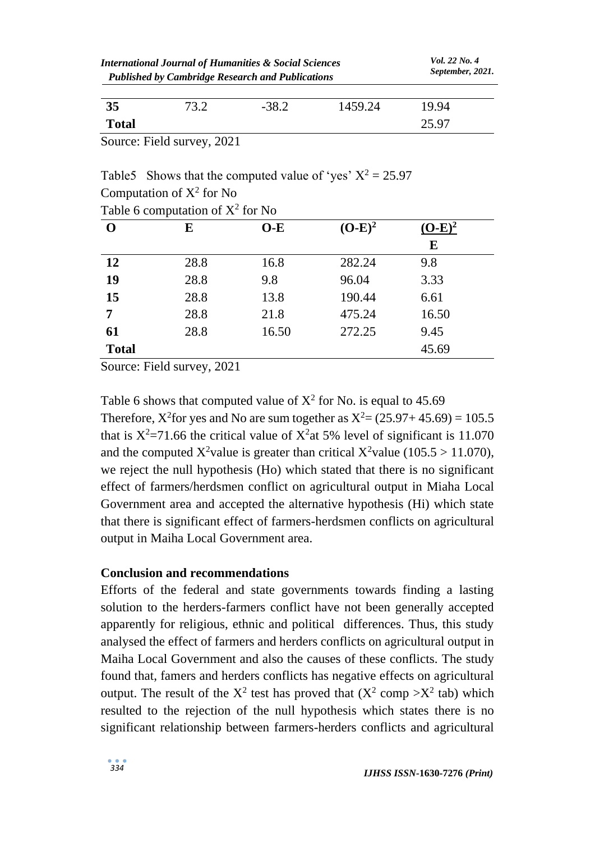| <b>International Journal of Humanities &amp; Social Sciences</b><br><b>Published by Cambridge Research and Publications</b> |      |         | <i>Vol.</i> 22 No. 4<br>September, 2021. |       |
|-----------------------------------------------------------------------------------------------------------------------------|------|---------|------------------------------------------|-------|
| 35                                                                                                                          | 73.2 | $-38.2$ | 1459.24                                  | 1994  |
| <b>Total</b>                                                                                                                |      |         |                                          | 25.97 |

Source: Field survey, 2021

Table5 Shows that the computed value of 'yes'  $X^2 = 25.97$ Computation of  $X^2$  for No

| $\mathbf{O}$ | E    | $O-E$ | $(O-E)^2$ | $(O-E)^2$ |
|--------------|------|-------|-----------|-----------|
|              |      |       |           | E         |
| 12           | 28.8 | 16.8  | 282.24    | 9.8       |
| 19           | 28.8 | 9.8   | 96.04     | 3.33      |
| 15           | 28.8 | 13.8  | 190.44    | 6.61      |
| 7            | 28.8 | 21.8  | 475.24    | 16.50     |
| 61           | 28.8 | 16.50 | 272.25    | 9.45      |
| <b>Total</b> |      |       |           | 45.69     |

Table 6 computation of  $X^2$  for No

Source: Field survey, 2021

Table 6 shows that computed value of  $X^2$  for No. is equal to 45.69 Therefore,  $X^2$  for yes and No are sum together as  $X^2 = (25.97 + 45.69) = 105.5$ that is  $X^2 = 71.66$  the critical value of  $X^2$  at 5% level of significant is 11.070 and the computed X<sup>2</sup>value is greater than critical X<sup>2</sup>value (105.5 > 11.070), we reject the null hypothesis (Ho) which stated that there is no significant effect of farmers/herdsmen conflict on agricultural output in Miaha Local Government area and accepted the alternative hypothesis (Hi) which state that there is significant effect of farmers-herdsmen conflicts on agricultural output in Maiha Local Government area.

#### **Conclusion and recommendations**

Efforts of the federal and state governments towards finding a lasting solution to the herders-farmers conflict have not been generally accepted apparently for religious, ethnic and political differences. Thus, this study analysed the effect of farmers and herders conflicts on agricultural output in Maiha Local Government and also the causes of these conflicts. The study found that, famers and herders conflicts has negative effects on agricultural output. The result of the  $X^2$  test has proved that  $(X^2 \text{ comp } > X^2 \text{ tab})$  which resulted to the rejection of the null hypothesis which states there is no significant relationship between farmers-herders conflicts and agricultural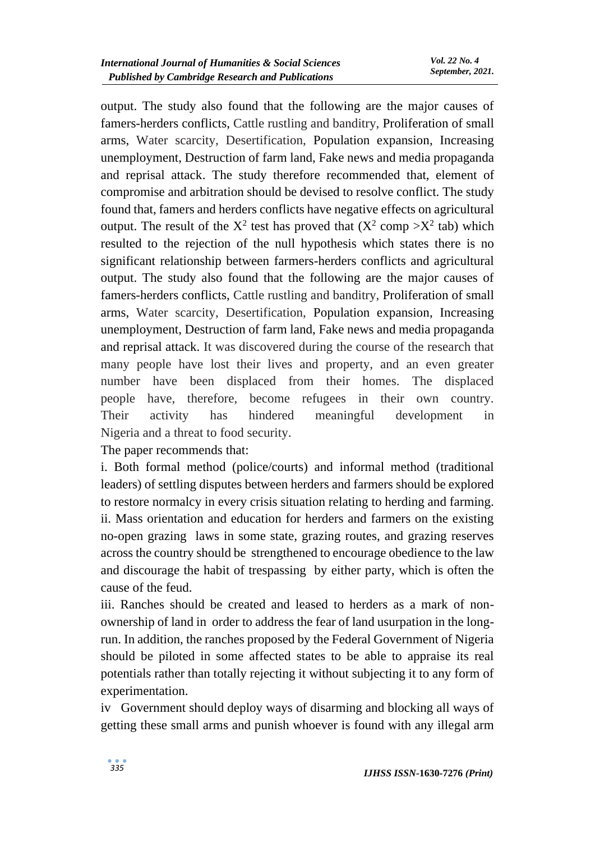output. The study also found that the following are the major causes of famers-herders conflicts, Cattle rustling and banditry, Proliferation of small arms, Water scarcity, Desertification, Population expansion, Increasing unemployment, Destruction of farm land, Fake news and media propaganda and reprisal attack. The study therefore recommended that, element of compromise and arbitration should be devised to resolve conflict. The study found that, famers and herders conflicts have negative effects on agricultural output. The result of the  $X^2$  test has proved that  $(X^2 \text{ comp } > X^2 \text{ tab})$  which resulted to the rejection of the null hypothesis which states there is no significant relationship between farmers-herders conflicts and agricultural output. The study also found that the following are the major causes of famers-herders conflicts, Cattle rustling and banditry, Proliferation of small arms, Water scarcity, Desertification, Population expansion, Increasing unemployment, Destruction of farm land, Fake news and media propaganda and reprisal attack. It was discovered during the course of the research that many people have lost their lives and property, and an even greater number have been displaced from their homes. The displaced people have, therefore, become refugees in their own country. Their activity has hindered meaningful development in Nigeria and a threat to food security.

The paper recommends that:

i. Both formal method (police/courts) and informal method (traditional leaders) of settling disputes between herders and farmers should be explored to restore normalcy in every crisis situation relating to herding and farming. ii. Mass orientation and education for herders and farmers on the existing no-open grazing laws in some state, grazing routes, and grazing reserves across the country should be strengthened to encourage obedience to the law and discourage the habit of trespassing by either party, which is often the cause of the feud.

iii. Ranches should be created and leased to herders as a mark of nonownership of land in order to address the fear of land usurpation in the longrun. In addition, the ranches proposed by the Federal Government of Nigeria should be piloted in some affected states to be able to appraise its real potentials rather than totally rejecting it without subjecting it to any form of experimentation.

iv Government should deploy ways of disarming and blocking all ways of getting these small arms and punish whoever is found with any illegal arm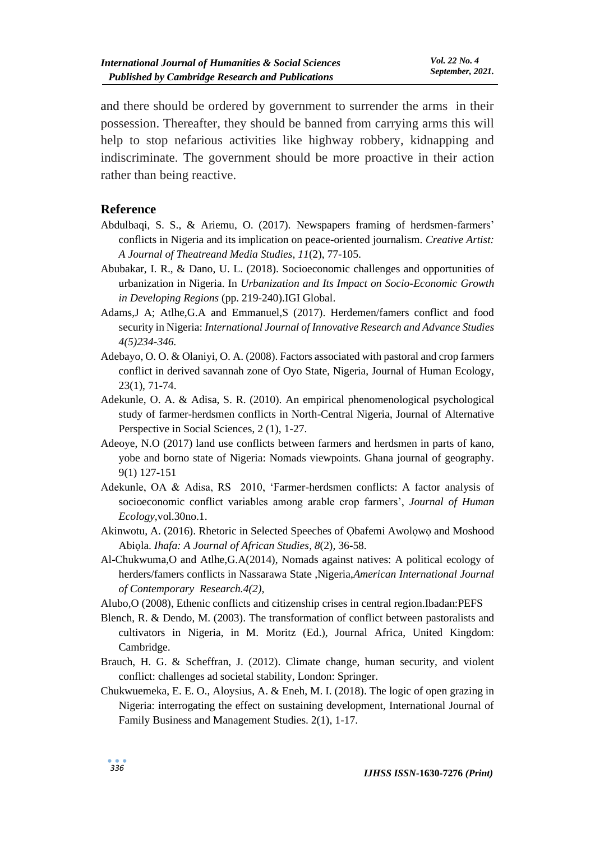and there should be ordered by government to surrender the arms in their possession. Thereafter, they should be banned from carrying arms this will help to stop nefarious activities like highway robbery, kidnapping and indiscriminate. The government should be more proactive in their action rather than being reactive.

#### **Reference**

- Abdulbaqi, S. S., & Ariemu, O. (2017). Newspapers framing of herdsmen-farmers' conflicts in Nigeria and its implication on peace-oriented journalism. *Creative Artist: A Journal of Theatreand Media Studies*, *11*(2), 77-105.
- Abubakar, I. R., & Dano, U. L. (2018). Socioeconomic challenges and opportunities of urbanization in Nigeria. In *Urbanization and Its Impact on Socio-Economic Growth in Developing Regions* (pp. 219-240).IGI Global.
- Adams,J A; Atlhe,G.A and Emmanuel,S (2017). Herdemen/famers conflict and food security in Nigeria: *International Journal of Innovative Research and Advance Studies 4(5)234-346.*
- Adebayo, O. O. & Olaniyi, O. A. (2008). Factors associated with pastoral and crop farmers conflict in derived savannah zone of Oyo State, Nigeria, Journal of Human Ecology, 23(1), 71-74.
- Adekunle, O. A. & Adisa, S. R. (2010). An empirical phenomenological psychological study of farmer-herdsmen conflicts in North-Central Nigeria, Journal of Alternative Perspective in Social Sciences, 2 (1), 1-27.
- Adeoye, N.O (2017) land use conflicts between farmers and herdsmen in parts of kano, yobe and borno state of Nigeria: Nomads viewpoints. Ghana journal of geography. 9(1) 127-151
- Adekunle, OA & Adisa, RS 2010, 'Farmer-herdsmen conflicts: A factor analysis of socioeconomic conflict variables among arable crop farmers', *Journal of Human Ecology,*vol.30no.1.
- Akinwotu, A. (2016). Rhetoric in Selected Speeches of Obafemi Awolowo and Moshood Abiọla. *Ihafa: A Journal of African Studies*, *8*(2), 36-58.
- Al-Chukwuma,O and Atlhe,G.A(2014), Nomads against natives: A political ecology of herders/famers conflicts in Nassarawa State ,Nigeria,*American International Journal of Contemporary Research.4(2),*
- Alubo,O (2008), Ethenic conflicts and citizenship crises in central region.Ibadan:PEFS
- Blench, R. & Dendo, M. (2003). The transformation of conflict between pastoralists and cultivators in Nigeria, in M. Moritz (Ed.), Journal Africa, United Kingdom: Cambridge.
- Brauch, H. G. & Scheffran, J. (2012). Climate change, human security, and violent conflict: challenges ad societal stability, London: Springer.
- Chukwuemeka, E. E. O., Aloysius, A. & Eneh, M. I. (2018). The logic of open grazing in Nigeria: interrogating the effect on sustaining development, International Journal of Family Business and Management Studies. 2(1), 1-17.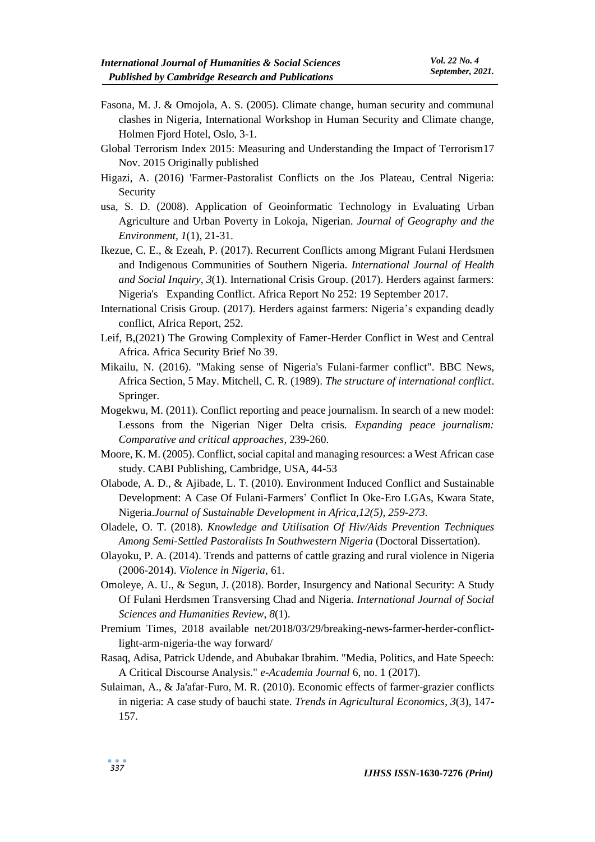- Fasona, M. J. & Omojola, A. S. (2005). Climate change, human security and communal clashes in Nigeria, International Workshop in Human Security and Climate change, Holmen Fjord Hotel, Oslo, 3-1.
- Global Terrorism Index 2015: Measuring and Understanding the Impact of Terrorism17 Nov. 2015 Originally published
- Higazi, A. (2016) 'Farmer-Pastoralist Conflicts on the Jos Plateau, Central Nigeria: Security
- usa, S. D. (2008). Application of Geoinformatic Technology in Evaluating Urban Agriculture and Urban Poverty in Lokoja, Nigerian. *Journal of Geography and the Environment*, *1*(1), 21-31.
- Ikezue, C. E., & Ezeah, P. (2017). Recurrent Conflicts among Migrant Fulani Herdsmen and Indigenous Communities of Southern Nigeria. *International Journal of Health and Social Inquiry*, *3*(1). International Crisis Group. (2017). Herders against farmers: Nigeria's Expanding Conflict. Africa Report No 252: 19 September 2017.
- International Crisis Group. (2017). Herders against farmers: Nigeria's expanding deadly conflict, Africa Report, 252.
- Leif, B,(2021) The Growing Complexity of Famer-Herder Conflict in West and Central Africa. Africa Security Brief No 39.
- Mikailu, N. (2016). "Making sense of Nigeria's Fulani-farmer conflict". BBC News, Africa Section, 5 May. Mitchell, C. R. (1989). *The structure of international conflict*. Springer.
- Mogekwu, M. (2011). Conflict reporting and peace journalism. In search of a new model: Lessons from the Nigerian Niger Delta crisis. *Expanding peace journalism: Comparative and critical approaches*, 239-260.
- Moore, K. M. (2005). Conflict, social capital and managing resources: a West African case study. CABI Publishing, Cambridge, USA, 44-53
- Olabode, A. D., & Ajibade, L. T. (2010). Environment Induced Conflict and Sustainable Development: A Case Of Fulani-Farmers' Conflict In Oke-Ero LGAs, Kwara State, Nigeria.*Journal of Sustainable Development in Africa,12(5), 259-273.*
- Oladele, O. T. (2018). *Knowledge and Utilisation Of Hiv/Aids Prevention Techniques Among Semi-Settled Pastoralists In Southwestern Nigeria* (Doctoral Dissertation).
- Olayoku, P. A. (2014). Trends and patterns of cattle grazing and rural violence in Nigeria (2006-2014). *Violence in Nigeria*, 61.
- Omoleye, A. U., & Segun, J. (2018). Border, Insurgency and National Security: A Study Of Fulani Herdsmen Transversing Chad and Nigeria. *International Journal of Social Sciences and Humanities Review*, *8*(1).
- Premium Times, 2018 available net/2018/03/29/breaking-news-farmer-herder-conflictlight-arm-nigeria-the way forward/
- Rasaq, Adisa, Patrick Udende, and Abubakar Ibrahim. "Media, Politics, and Hate Speech: A Critical Discourse Analysis." *e-Academia Journal* 6, no. 1 (2017).
- Sulaiman, A., & Ja'afar-Furo, M. R. (2010). Economic effects of farmer-grazier conflicts in nigeria: A case study of bauchi state. *Trends in Agricultural Economics*, *3*(3), 147- 157.